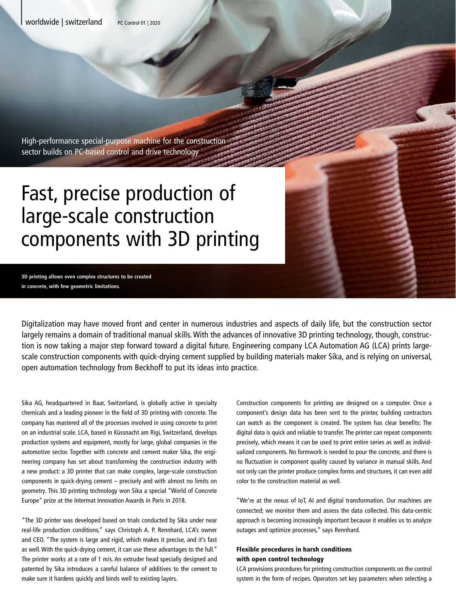High-performance special-purpose machine for the construction sector builds on PC-based control and drive technology

# Fast, precise production of large-scale construction components with 3D printing

**3D printing allows even complex structures to be created in concrete, with few geometric limitations.**

Digitalization may have moved front and center in numerous industries and aspects of daily life, but the construction sector largely remains a domain of traditional manual skills. With the advances of innovative 3D printing technology, though, construction is now taking a major step forward toward a digital future. Engineering company LCA Automation AG (LCA) prints largescale construction components with quick-drying cement supplied by building materials maker Sika, and is relying on universal, open automation technology from Beckhoff to put its ideas into practice.

Sika AG, headquartered in Baar, Switzerland, is globally active in specialty chemicals and a leading pioneer in the field of 3D printing with concrete. The company has mastered all of the processes involved in using concrete to print on an industrial scale. LCA, based in Küssnacht am Rigi, Switzerland, develops production systems and equipment, mostly for large, global companies in the automotive sector. Together with concrete and cement maker Sika, the engineering company has set about transforming the construction industry with a new product: a 3D printer that can make complex, large-scale construction components in quick-drying cement – precisely and with almost no limits on geometry. This 3D printing technology won Sika a special "World of Concrete Europe" prize at the Intermat Innovation Awards in Paris in 2018.

"The 3D printer was developed based on trials conducted by Sika under near real-life production conditions," says Christoph A. P. Rennhard, LCA's owner and CEO. "The system is large and rigid, which makes it precise, and it's fast as well. With the quick-drying cement, it can use these advantages to the full." The printer works at a rate of 1 m/s. An extruder head specially designed and patented by Sika introduces a careful balance of additives to the cement to make sure it hardens quickly and binds well to existing layers.

Construction components for printing are designed on a computer. Once a component's design data has been sent to the printer, building contractors can watch as the component is created. The system has clear benefits: The digital data is quick and reliable to transfer. The printer can repeat components precisely, which means it can be used to print entire series as well as individualized components. No formwork is needed to pour the concrete, and there is no fluctuation in component quality caused by variance in manual skills. And not only can the printer produce complex forms and structures, it can even add color to the construction material as well.

"We're at the nexus of IoT, AI and digital transformation. Our machines are connected; we monitor them and assess the data collected. This data-centric approach is becoming increasingly important because it enables us to analyze outages and optimize processes," says Rennhard.

## Flexible procedures in harsh conditions with open control technology

LCA provisions procedures for printing construction components on the control system in the form of recipes. Operators set key parameters when selecting a